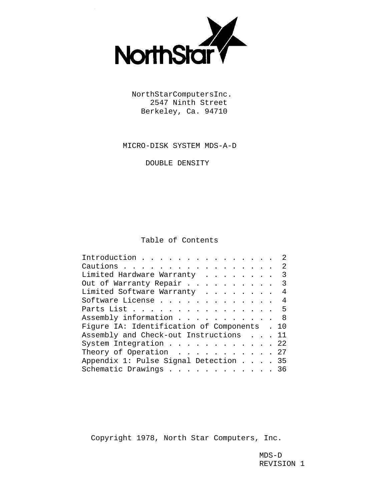

 NorthStarComputersInc. 2547 Ninth Street Berkeley, Ca. 94710

MICRO-DISK SYSTEM MDS-A-D

DOUBLE DENSITY

# Table of Contents

| Introduction                                 |  |  |  |  |  |  |  | 2 |
|----------------------------------------------|--|--|--|--|--|--|--|---|
| Cautions                                     |  |  |  |  |  |  |  | 2 |
| Limited Hardware Warranty 3                  |  |  |  |  |  |  |  |   |
| Out of Warranty Repair 3                     |  |  |  |  |  |  |  |   |
| Limited Software Warranty 4                  |  |  |  |  |  |  |  |   |
| Software License 4                           |  |  |  |  |  |  |  |   |
| Parts List 5                                 |  |  |  |  |  |  |  |   |
| Assembly information 8                       |  |  |  |  |  |  |  |   |
| Figure IA: Identification of Components . 10 |  |  |  |  |  |  |  |   |
| Assembly and Check-out Instructions 11       |  |  |  |  |  |  |  |   |
| System Integration 22                        |  |  |  |  |  |  |  |   |
| Theory of Operation $\ldots$ 27              |  |  |  |  |  |  |  |   |
| Appendix 1: Pulse Signal Detection 35        |  |  |  |  |  |  |  |   |
| Schematic Drawings 36                        |  |  |  |  |  |  |  |   |
|                                              |  |  |  |  |  |  |  |   |

Copyright 1978, North Star Computers, Inc.

 MDS-D REVISION 1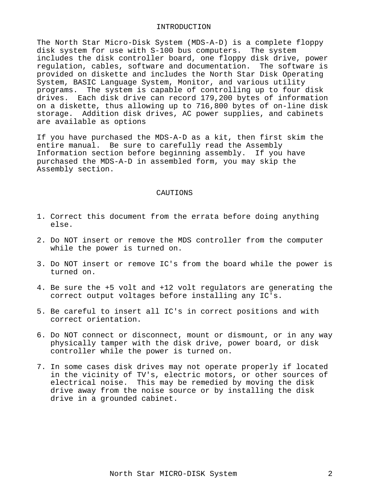#### INTRODUCTION

The North Star Micro-Disk System (MDS-A-D) is a complete floppy disk system for use with S-100 bus computers. The system includes the disk controller board, one floppy disk drive, power regulation, cables, software and documentation. The software is provided on diskette and includes the North Star Disk Operating System, BASIC Language System, Monitor, and various utility programs. The system is capable of controlling up to four disk drives. Each disk drive can record 179,200 bytes of information on a diskette, thus allowing up to 716,800 bytes of on-line disk storage. Addition disk drives, AC power supplies, and cabinets are available as options

If you have purchased the MDS-A-D as a kit, then first skim the entire manual. Be sure to carefully read the Assembly Information section before beginning assembly. If you have purchased the MDS-A-D in assembled form, you may skip the Assembly section.

#### CAUTIONS

- 1. Correct this document from the errata before doing anything else.
- 2. Do NOT insert or remove the MDS controller from the computer while the power is turned on.
- 3. Do NOT insert or remove IC's from the board while the power is turned on.
- 4. Be sure the +5 volt and +12 volt regulators are generating the correct output voltages before installing any IC's.
- 5. Be careful to insert all IC's in correct positions and with correct orientation.
- 6. Do NOT connect or disconnect, mount or dismount, or in any way physically tamper with the disk drive, power board, or disk controller while the power is turned on.
- 7. In some cases disk drives may not operate properly if located in the vicinity of TV's, electric motors, or other sources of electrical noise. This may be remedied by moving the disk drive away from the noise source or by installing the disk drive in a grounded cabinet.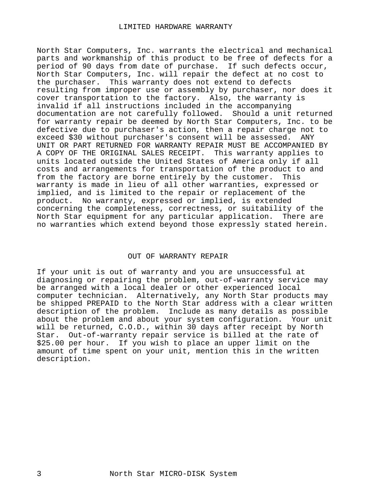North Star Computers, Inc. warrants the electrical and mechanical parts and workmanship of this product to be free of defects for a period of 90 days from date of purchase. If such defects occur, North Star Computers, Inc. will repair the defect at no cost to the purchaser. This warranty does not extend to defects resulting from improper use or assembly by purchaser, nor does it cover transportation to the factory. Also, the warranty is invalid if all instructions included in the accompanying documentation are not carefully followed. Should a unit returned for warranty repair be deemed by North Star Computers, Inc. to be defective due to purchaser's action, then a repair charge not to exceed \$30 without purchaser's consent will be assessed. ANY UNIT OR PART RETURNED FOR WARRANTY REPAIR MUST BE ACCOMPANIED BY A COPY OF THE ORIGINAL SALES RECEIPT. This warranty applies to units located outside the United States of America only if all costs and arrangements for transportation of the product to and from the factory are borne entirely by the customer. This warranty is made in lieu of all other warranties, expressed or implied, and is limited to the repair or replacement of the product. No warranty, expressed or implied, is extended concerning the completeness, correctness, or suitability of the North Star equipment for any particular application. There are no warranties which extend beyond those expressly stated herein.

## OUT OF WARRANTY REPAIR

If your unit is out of warranty and you are unsuccessful at diagnosing or repairing the problem, out-of-warranty service may be arranged with a local dealer or other experienced local computer technician. Alternatively, any North Star products may be shipped PREPAID to the North Star address with a clear written description of the problem. Include as many details as possible about the problem and about your system configuration. Your unit will be returned, C.O.D., within 30 days after receipt by North Star. Out-of-warranty repair service is billed at the rate of \$25.00 per hour. If you wish to place an upper limit on the amount of time spent on your unit, mention this in the written description.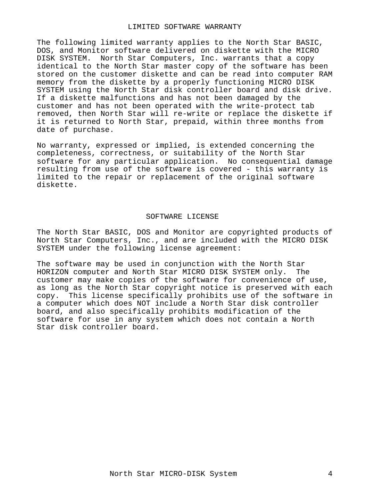#### LIMITED SOFTWARE WARRANTY

The following limited warranty applies to the North Star BASIC, DOS, and Monitor software delivered on diskette with the MICRO DISK SYSTEM. North Star Computers, Inc. warrants that a copy identical to the North Star master copy of the software has been stored on the customer diskette and can be read into computer RAM memory from the diskette by a properly functioning MICRO DISK SYSTEM using the North Star disk controller board and disk drive. If a diskette malfunctions and has not been damaged by the customer and has not been operated with the write-protect tab removed, then North Star will re-write or replace the diskette if it is returned to North Star, prepaid, within three months from date of purchase.

No warranty, expressed or implied, is extended concerning the completeness, correctness, or suitability of the North Star software for any particular application. No consequential damage resulting from use of the software is covered - this warranty is limited to the repair or replacement of the original software diskette.

## SOFTWARE LICENSE

The North Star BASIC, DOS and Monitor are copyrighted products of North Star Computers, Inc., and are included with the MICRO DISK SYSTEM under the following license agreement:

The software may be used in conjunction with the North Star HORIZON computer and North Star MICRO DISK SYSTEM only. The customer may make copies of the software for convenience of use, as long as the North Star copyright notice is preserved with each copy. This license specifically prohibits use of the software in a computer which does NOT include a North Star disk controller board, and also specifically prohibits modification of the software for use in any system which does not contain a North Star disk controller board.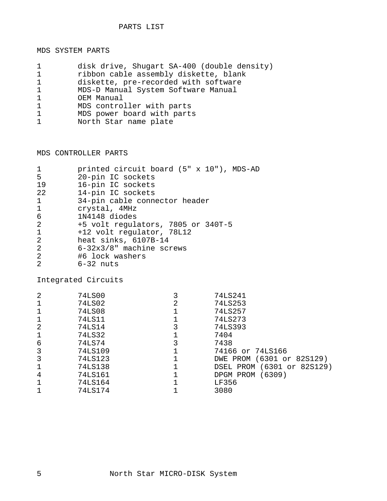# MDS SYSTEM PARTS

| $\mathbf 1$  | disk drive, Shugart SA-400 (double density) |
|--------------|---------------------------------------------|
| $\mathbf{1}$ | ribbon cable assembly diskette, blank       |
| $\mathbf 1$  | diskette, pre-recorded with software        |
| $\mathbf{1}$ | MDS-D Manual System Software Manual         |
| $\mathbf{1}$ | OEM Manual                                  |
| $\mathbf{1}$ | MDS controller with parts                   |
| $\mathbf{1}$ | MDS power board with parts                  |
| $\mathbf{1}$ | North Star name plate                       |
|              |                                             |

MDS CONTROLLER PARTS

| printed circuit board (5" x 10"), MDS-AD |
|------------------------------------------|
| 20-pin IC sockets                        |
| 16-pin IC sockets                        |
| 14-pin IC sockets                        |
| 34-pin cable connector header            |
| crystal, 4MHz                            |
| 1N4148 diodes                            |
| +5 volt regulators, 7805 or 340T-5       |
| +12 volt regulator, 78L12                |
| heat sinks, 6107B-14                     |
| $6 - 32x3/8$ " machine screws            |
| #6 lock washers                          |
| $6-32$ nuts                              |
|                                          |

Integrated Circuits

| 2            | 74LS00  |   | 74LS241                    |
|--------------|---------|---|----------------------------|
| $\mathbf 1$  | 74LS02  | 2 | 74LS253                    |
| 1            | 74LS08  |   | 74LS257                    |
| $\mathbf{1}$ | 74LS11  |   | 74LS273                    |
| 2            | 74LS14  |   | 74LS393                    |
| $\mathbf 1$  | 74LS32  |   | 7404                       |
| 6            | 74LS74  |   | 7438                       |
| 3            | 74LS109 |   | 74166 or 74LS166           |
| 3            | 74LS123 |   | DWE PROM (6301 or 82S129)  |
| $\mathbf{1}$ | 74LS138 |   | DSEL PROM (6301 or 82S129) |
| 4            | 74LS161 |   | DPGM PROM (6309)           |
| $\mathbf{1}$ | 74LS164 |   | LF356                      |
|              | 74LS174 |   | 3080                       |
|              |         |   |                            |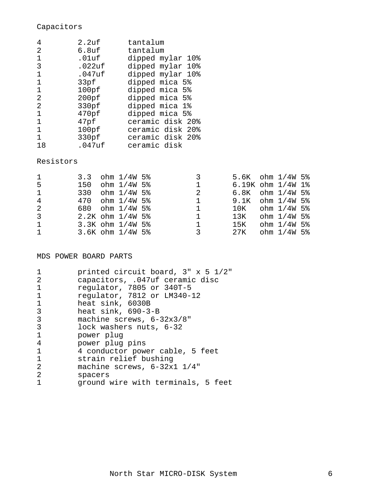# Capacitors

| 4  | 2.2uf             | tantalum         |
|----|-------------------|------------------|
| 2  | 6.8 <sub>uf</sub> | tantalum         |
|    | .01uf             | dipped mylar 10% |
| 3  | .022uf            | dipped mylar 10% |
|    | .047uf            | dipped mylar 10% |
|    | 33pf              | dipped mica 5%   |
| 1  | 100pf             | dipped mica 5%   |
| 2  | 200pf             | dipped mica 5%   |
| 2  | 330pf             | dipped mica 1%   |
|    | 470pf             | dipped mica 5%   |
| 1  | 47pf              | ceramic disk 20% |
|    | 100pf             | ceramic disk 20% |
| 1  | 330pf             | ceramic disk 20% |
| 18 | $.047$ uf         | ceramic disk     |

# Resistors

| $\mathbf{1}$ |  | 3.3 ohm $1/4W$ 5%    |              | $5.6K$ ohm $1/4W$ 5%  |               |  |
|--------------|--|----------------------|--------------|-----------------------|---------------|--|
| -5           |  | 150 ohm 1/4W 5%      | 1            | $6.19K$ ohm $1/4W$ 1% |               |  |
| $\mathbf{1}$ |  | 330 $ohm$ $1/4W$ 5%  | 2            | $6.8K$ ohm $1/4W$ 5%  |               |  |
| 4            |  | $470$ ohm $1/4W$ 5%  | 1            | $9.1K$ ohm $1/4W$ 5%  |               |  |
| 2            |  | 680 ohm 1/4W 5%      | $\mathbf{1}$ | $10K$ ohm $1/4W$ 5%   |               |  |
| 3            |  | $2.2K$ ohm $1/4W$ 5% | $\mathbf{1}$ | $13K$ ohm $1/4W$ 5%   |               |  |
| $\mathbf{1}$ |  | $3.3K$ ohm $1/4W$ 5% | $\mathbf{1}$ | $15K$ ohm $1/4W$ 5%   |               |  |
| $\mathbf{1}$ |  | 3.6K ohm 1/4W 5%     |              | 27K                   | ohm $1/4W$ 5% |  |

# MDS POWER BOARD PARTS

|              | printed circuit board, 3" x 5 1/2" |
|--------------|------------------------------------|
| 2            | capacitors, .047uf ceramic disc    |
|              | regulator, 7805 or 340T-5          |
| $\mathbf{1}$ | regulator, 7812 or LM340-12        |
| 1            | heat sink, 6030B                   |
| 3            | heat $sink$ , 690-3-B              |
| 3            | machine screws, $6-32x3/8$ "       |
| 3            | lock washers nuts, 6-32            |
| $\mathbf{1}$ | power plug                         |
| 4            | power plug pins                    |
| 1            | 4 conductor power cable, 5 feet    |
| -1           | strain relief bushing              |
| 2            | machine screws, $6-32x1$ $1/4$ "   |
| 2            | spacers                            |
|              | ground wire with terminals, 5 feet |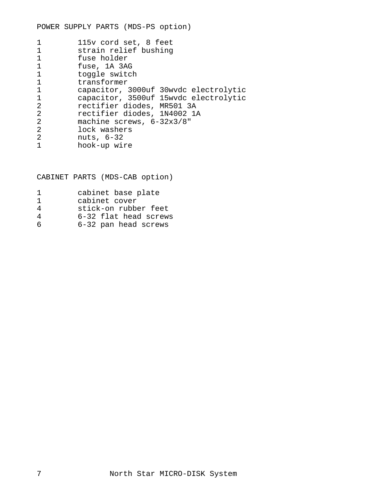|               | 115v cord set, 8 feet                 |
|---------------|---------------------------------------|
|               | strain relief bushing                 |
| $\mathbf{1}$  | fuse holder                           |
| $\mathbf 1$   | fuse, 1A 3AG                          |
|               | toggle switch                         |
| $\mathbf{1}$  | transformer                           |
| 1             | capacitor, 3000uf 30wvdc electrolytic |
| $\mathbf{1}$  | capacitor, 3500uf 15wvdc electrolytic |
| 2             | rectifier diodes, MR501 3A            |
| 2             | rectifier diodes, 1N4002 1A           |
| 2             | machine screws, $6-32x3/8$ "          |
| 2             | lock washers                          |
| $\mathcal{L}$ | nuts, 6-32                            |
|               | hook-up wire                          |

CABINET PARTS (MDS-CAB option)

| п.           | cabinet base plate    |
|--------------|-----------------------|
| $\mathbf{1}$ | cabinet cover         |
| 4            | stick-on rubber feet  |
| 4            | 6-32 flat head screws |
| 6            | 6-32 pan head screws  |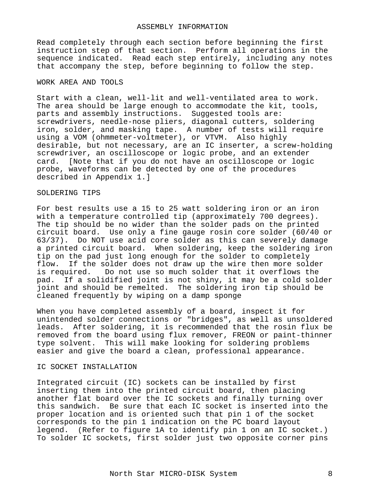#### ASSEMBLY INFORMATION

Read completely through each section before beginning the first instruction step of that section. Perform all operations in the sequence indicated. Read each step entirely, including any notes that accompany the step, before beginning to follow the step.

## WORK AREA AND TOOLS

Start with a clean, well-lit and well-ventilated area to work. The area should be large enough to accommodate the kit, tools, parts and assembly instructions. Suggested tools are: screwdrivers, needle-nose pliers, diagonal cutters, soldering iron, solder, and masking tape. A number of tests will require using a VOM (ohmmeter-voltmeter), or VTVM. Also highly desirable, but not necessary, are an IC inserter, a screw-holding screwdriver, an oscilloscope or logic probe, and an extender card. [Note that if you do not have an oscilloscope or logic probe, waveforms can be detected by one of the procedures described in Appendix 1.]

#### SOLDERING TIPS

For best results use a 15 to 25 watt soldering iron or an iron with a temperature controlled tip (approximately 700 degrees). The tip should be no wider than the solder pads on the printed circuit board. Use only a fine gauge rosin core solder (60/40 or 63/37). Do NOT use acid core solder as this can severely damage a printed circuit board. When soldering, keep the soldering iron tip on the pad just long enough for the solder to completely flow. If the solder does not draw up the wire then more solder is required. Do not use so much solder that it overflows the pad. If a solidified joint is not shiny, it may be a cold solder joint and should be remelted. The soldering iron tip should be cleaned frequently by wiping on a damp sponge

When you have completed assembly of a board, inspect it for unintended solder connections or "bridges", as well as unsoldered leads. After soldering, it is recommended that the rosin flux be removed from the board using flux remover, FREON or paint-thinner type solvent. This will make looking for soldering problems easier and give the board a clean, professional appearance.

# IC SOCKET INSTALLATION

Integrated circuit (IC) sockets can be installed by first inserting them into the printed circuit board, then placing another flat board over the IC sockets and finally turning over this sandwich. Be sure that each IC socket is inserted into the proper location and is oriented such that pin 1 of the socket corresponds to the pin 1 indication on the PC board layout legend. (Refer to figure 1A to identify pin 1 on an IC socket.) To solder IC sockets, first solder just two opposite corner pins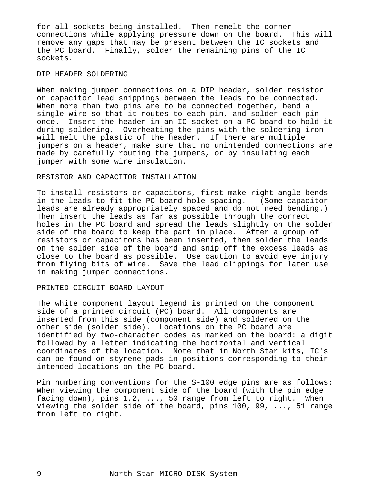for all sockets being installed. Then remelt the corner connections while applying pressure down on the board. This will remove any gaps that may be present between the IC sockets and the PC board. Finally, solder the remaining pins of the IC sockets.

## DIP HEADER SOLDERING

When making jumper connections on a DIP header, solder resistor or capacitor lead snippings between the leads to be connected. When more than two pins are to be connected together, bend a single wire so that it routes to each pin, and solder each pin once. Insert the header in an IC socket on a PC board to hold it during soldering. Overheating the pins with the soldering iron will melt the plastic of the header. If there are multiple jumpers on a header, make sure that no unintended connections are made by carefully routing the jumpers, or by insulating each jumper with some wire insulation.

# RESISTOR AND CAPACITOR INSTALLATION

To install resistors or capacitors, first make right angle bends in the leads to fit the PC board hole spacing. (Some capacitor leads are already appropriately spaced and do not need bending.) Then insert the leads as far as possible through the correct holes in the PC board and spread the leads slightly on the solder side of the board to keep the part in place. After a group of resistors or capacitors has been inserted, then solder the leads on the solder side of the board and snip off the excess leads as close to the board as possible. Use caution to avoid eye injury from flying bits of wire. Save the lead clippings for later use in making jumper connections.

#### PRINTED CIRCUIT BOARD LAYOUT

The white component layout legend is printed on the component side of a printed circuit (PC) board. All components are inserted from this side (component side) and soldered on the other side (solder side). Locations on the PC board are identified by two-character codes as marked on the board: a digit followed by a letter indicating the horizontal and vertical coordinates of the location. Note that in North Star kits, IC's can be found on styrene pads in positions corresponding to their intended locations on the PC board.

Pin numbering conventions for the S-100 edge pins are as follows: When viewing the component side of the board (with the pin edge facing down), pins 1,2, ..., 50 range from left to right. When viewing the solder side of the board, pins 100, 99, ..., 51 range from left to right.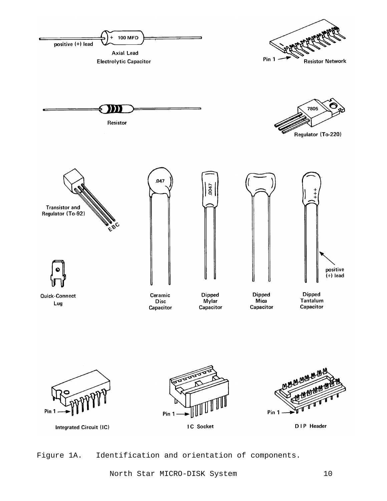

Figure 1A. Identification and orientation of components.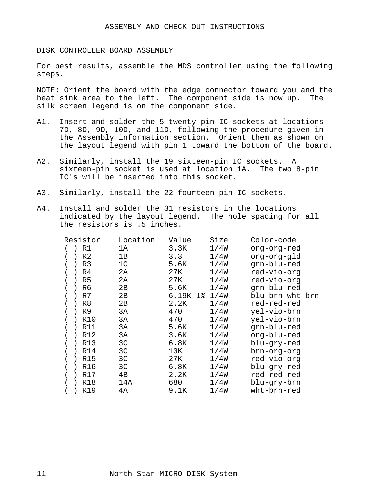DISK CONTROLLER BOARD ASSEMBLY

For best results, assemble the MDS controller using the following steps.

NOTE: Orient the board with the edge connector toward you and the heat sink area to the left. The component side is now up. The silk screen legend is on the component side.

- A1. Insert and solder the 5 twenty-pin IC sockets at locations 7D, 8D, 9D, 10D, and 11D, following the procedure given in the Assembly information section. Orient them as shown on the layout legend with pin 1 toward the bottom of the board.
- A2. Similarly, install the 19 sixteen-pin IC sockets. A sixteen-pin socket is used at location 1A. The two 8-pin IC's will be inserted into this socket.
- A3. Similarly, install the 22 fourteen-pin IC sockets.
- A4. Install and solder the 31 resistors in the locations indicated by the layout legend. The hole spacing for all the resistors is .5 inches.

| Resistor   | Location       | Value    | Size | Color-code      |
|------------|----------------|----------|------|-----------------|
| R1         | 1A             | 3.3K     | 1/4W | org-org-red     |
| R2         | 1В             | 3.3      | 1/4W | org-org-gld     |
| R3         | 1 <sup>C</sup> | 5.6K     | 1/4W | grn-blu-red     |
| R4         | 2А             | 27K      | 1/4W | red-vio-org     |
| R5         | 2A             | 27K      | 1/4W | red-vio-org     |
| R6         | 2В             | 5.6K     | 1/4W | grn-blu-red     |
| R7         | 2В             | 6.19K 1% | 1/4W | blu-brn-wht-brn |
| R8         | 2B             | 2.2K     | 1/4W | red-red-red     |
| R9         | 3A             | 470      | 1/4W | yel-vio-brn     |
| <b>R10</b> | ЗA             | 470      | 1/4W | yel-vio-brn     |
| R11        | 3A             | 5.6K     | 1/4W | grn-blu-red     |
| R12        | 3A             | 3.6K     | 1/4W | org-blu-red     |
| R13        | 3C             | 6.8K     | 1/4W | blu-gry-red     |
| R14        | 3C             | 13K      | 1/4W | brn-org-org     |
| <b>R15</b> | 3C             | 27K      | 1/4W | red-vio-org     |
| R16        | 3C             | 6.8K     | 1/4W | blu-gry-red     |
| R17        | 4B             | 2.2K     | 1/4W | red-red-red     |
| R18        | 14A            | 680      | 1/4W | blu-gry-brn     |
| R19        | 4A             | 9.1K     | 1/4W | wht-brn-red     |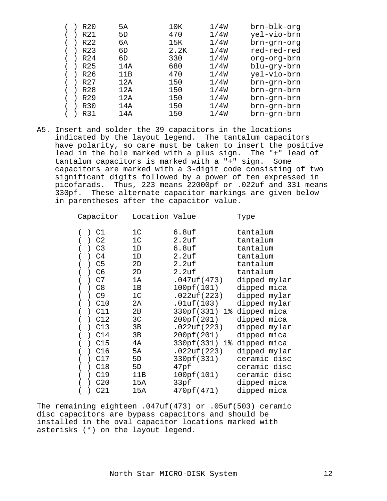|  | R <sub>20</sub>  | 5A  | 10K  | 1/4W | brn-blk-org |
|--|------------------|-----|------|------|-------------|
|  | R21              | 5D  | 470  | 1/4W | yel-vio-brn |
|  | R22              | 6A  | 15K  | 1/4W | brn-grn-org |
|  | R <sub>2</sub> 3 | 6D  | 2.2K | 1/4W | red-red-red |
|  | R24              | 6D  | 330  | 1/4W | org-org-brn |
|  | R <sub>25</sub>  | 14A | 680  | 1/4W | blu-gry-brn |
|  | R26              | 11B | 470  | 1/4W | yel-vio-brn |
|  | R <sub>27</sub>  | 12A | 150  | 1/4W | brn-grn-brn |
|  | R28              | 12A | 150  | 1/4W | brn-grn-brn |
|  | R <sub>29</sub>  | 12A | 150  | 1/4W | brn-grn-brn |
|  | R30              | 14A | 150  | 1/4W | brn-grn-brn |
|  | R31              | 14A | 150  | 1/4W | brn-grn-brn |

A5. Insert and solder the 39 capacitors in the locations indicated by the layout legend. The tantalum capacitors have polarity, so care must be taken to insert the positive lead in the hole marked with a plus sign. The "+" lead of tantalum capacitors is marked with a "+" sign. Some capacitors are marked with a 3-digit code consisting of two significant digits followed by a power of ten expressed in picofarads. Thus, 223 means 22000pf or .022uf and 331 means 330pf. These alternate capacitor markings are given below in parentheses after the capacitor value.

| Capacitor                                           | Location Value |                           | Type         |
|-----------------------------------------------------|----------------|---------------------------|--------------|
| $)$ C1                                              | 1 <sup>C</sup> | 6.8uf                     | tantalum     |
| C2<br>$\left( \begin{array}{c} \end{array} \right)$ | 1 <sup>C</sup> | 2.2uf                     | tantalum     |
| C <sub>3</sub><br>$\rightarrow$                     | 1D             | $6.8$ uf                  | tantalum     |
| C <sub>4</sub><br>$\rightarrow$                     | 1D             | 2.2uf                     | tantalum     |
| ) C5                                                | 2D             | 2.2uf                     | tantalum     |
| C <sub>6</sub><br>$\lambda$                         | 2D             | 2.2uf                     | tantalum     |
| C7                                                  | 1A             | .047uf(473)               | dipped mylar |
| ) C8                                                | 1B             | 100pf(101)                | dipped mica  |
| C9<br>$\rightarrow$                                 | 1 <sup>C</sup> | .022uf(223)               | dipped mylar |
| $)$ $C10$                                           | 2A             | $.01$ uf (103)            | dipped mylar |
| C11                                                 | 2B             | 330pf(331) 1% dipped mica |              |
| C12                                                 | 3C             | 200pf(201)                | dipped mica  |
| ) C13                                               | 3B             | .022uf(223)               | dipped mylar |
| C14                                                 | 3B             | 200pf(201) dipped mica    |              |
| C15                                                 | 4A             | 330pf(331) 1% dipped mica |              |
| C16                                                 | 5A             | .022uf(223)               | dipped mylar |
| C17                                                 | 5D             | 330pf(331)                | ceramic disc |
| ) C18                                               | 5D             | 47pf                      | ceramic disc |
| C19<br>$\lambda$                                    | 11B            | 100pf(101)                | ceramic disc |
| C20                                                 | 15A            | 33pf                      | dipped mica  |
| C21<br>$\mathcal{L}$                                | 15A            | 470pf(471)                | dipped mica  |

The remaining eighteen .047uf(473) or .05uf(503) ceramic disc capacitors are bypass capacitors and should be installed in the oval capacitor locations marked with asterisks (\*) on the layout legend.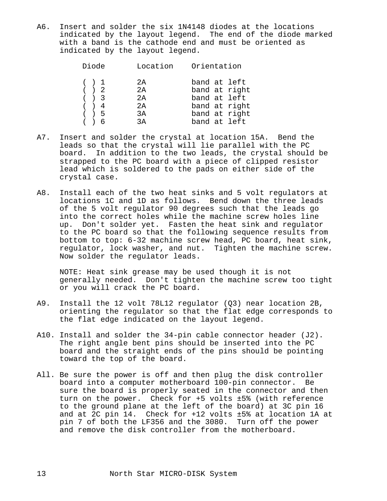A6. Insert and solder the six 1N4148 diodes at the locations indicated by the layout legend. The end of the diode marked with a band is the cathode end and must be oriented as indicated by the layout legend.

| Diode | Location | Orientation   |
|-------|----------|---------------|
| ( ) 1 | 2A       | band at left  |
| ( ) 2 | 2A       | band at right |
| ( ) 3 | 2A       | band at left  |
| ( ) 4 | 2A       | band at right |
| ( ) 5 | 3A       | band at right |
| ( ) 6 | 3A       | band at left  |
|       |          |               |

- A7. Insert and solder the crystal at location 15A. Bend the leads so that the crystal will lie parallel with the PC board. In addition to the two leads, the crystal should be strapped to the PC board with a piece of clipped resistor lead which is soldered to the pads on either side of the crystal case.
- A8. Install each of the two heat sinks and 5 volt regulators at locations 1C and 1D as follows. Bend down the three leads of the 5 volt regulator 90 degrees such that the leads go into the correct holes while the machine screw holes line up. Don't solder yet. Fasten the heat sink and regulator to the PC board so that the following sequence results from bottom to top: 6-32 machine screw head, PC board, heat sink, regulator, lock washer, and nut. Tighten the machine screw. Now solder the regulator leads.

 NOTE: Heat sink grease may be used though it is not generally needed. Don't tighten the machine screw too tight or you will crack the PC board.

- A9. Install the 12 volt 78L12 regulator (Q3) near location 2B, orienting the regulator so that the flat edge corresponds to the flat edge indicated on the layout legend.
- A10. Install and solder the 34-pin cable connector header (J2). The right angle bent pins should be inserted into the PC board and the straight ends of the pins should be pointing toward the top of the board.
- All. Be sure the power is off and then plug the disk controller board into a computer motherboard 100-pin connector. Be sure the board is properly seated in the connector and then turn on the power. Check for +5 volts ±5% (with reference to the ground plane at the left of the board) at 3C pin 16 and at 2C pin 14. Check for +12 volts ±5% at location 1A at pin 7 of both the LF356 and the 3080. Turn off the power and remove the disk controller from the motherboard.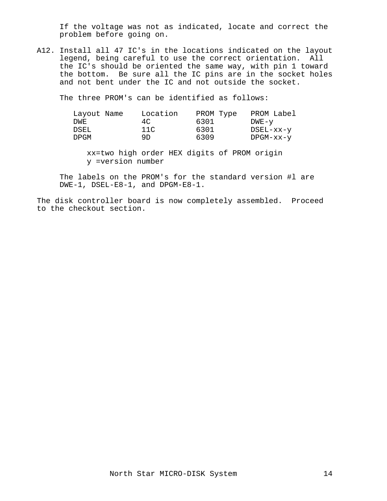If the voltage was not as indicated, locate and correct the problem before going on.

A12. Install all 47 IC's in the locations indicated on the layout legend, being careful to use the correct orientation. All the IC's should be oriented the same way, with pin 1 toward the bottom. Be sure all the IC pins are in the socket holes and not bent under the IC and not outside the socket.

The three PROM's can be identified as follows:

| Layout Name |     | Location<br>PROM Type |           | PROM Label |
|-------------|-----|-----------------------|-----------|------------|
| DWE         | 4C. | 6301                  | $DWE - Y$ |            |
| DSEL        | 11C | 6301                  | DSEL-xx-y |            |
| DPGM        | 9D. | 6309                  | DPGM-xx-y |            |

 xx=two high order HEX digits of PROM origin y =version number

 The labels on the PROM's for the standard version #l are DWE-1, DSEL-E8-1, and DPGM-E8-1.

The disk controller board is now completely assembled. Proceed to the checkout section.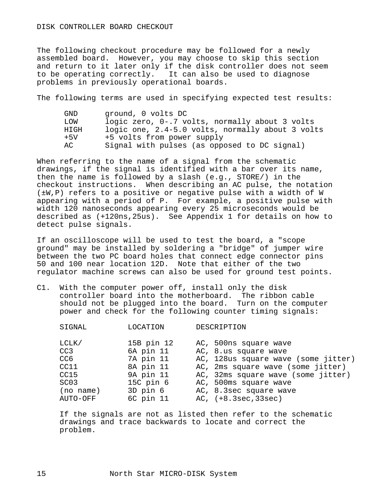The following checkout procedure may be followed for a newly assembled board. However, you may choose to skip this section and return to it later only if the disk controller does not seem to be operating correctly. It can also be used to diagnose problems in previously operational boards.

The following terms are used in specifying expected test results:

| GND   | ground, 0 volts DC                               |
|-------|--------------------------------------------------|
| LOW   | logic zero, 0-.7 volts, normally about 3 volts   |
| HIGH  | logic one, 2.4-5.0 volts, normally about 3 volts |
| $+5V$ | +5 volts from power supply                       |
| AC    | Signal with pulses (as opposed to DC signal)     |

When referring to the name of a signal from the schematic drawings, if the signal is identified with a bar over its name, then the name is followed by a slash (e.g., STORE/) in the checkout instructions. When describing an AC pulse, the notation (±W,P) refers to a positive or negative pulse with a width of W appearing with a period of P. For example, a positive pulse with width 120 nanoseconds appearing every 25 microseconds would be described as (+120ns,25us). See Appendix 1 for details on how to detect pulse signals.

If an oscilloscope will be used to test the board, a "scope ground" may be installed by soldering a "bridge" of jumper wire between the two PC board holes that connect edge connector pins 50 and 100 near location 12D. Note that either of the two regulator machine screws can also be used for ground test points.

C1. With the computer power off, install only the disk controller board into the motherboard. The ribbon cable should not be plugged into the board. Turn on the computer power and check for the following counter timing signals:

| 15B pin 12<br>LCLK/<br>AC, 500ns square wave               |  |
|------------------------------------------------------------|--|
|                                                            |  |
| 6A pin 11<br>CC <sub>3</sub><br>AC, 8.us square wave       |  |
| 7A pin 11<br>AC, 128us square wave (some jitter)<br>CC6    |  |
| 8A pin 11<br>CC11<br>AC, 2ms square wave (some jitter)     |  |
| 9A pin 11<br>CC15<br>AC, 32ms square wave (some jitter)    |  |
| $15C$ pin $6$<br>SC <sub>03</sub><br>AC, 500ms square wave |  |
| 3D pin 6<br>AC, 8.3sec square wave<br>(no name)            |  |
| 6C pin 11<br>$AC, (+8.3sec, 33sec)$<br>AUTO-OFF            |  |

 If the signals are not as listed then refer to the schematic drawings and trace backwards to locate and correct the problem.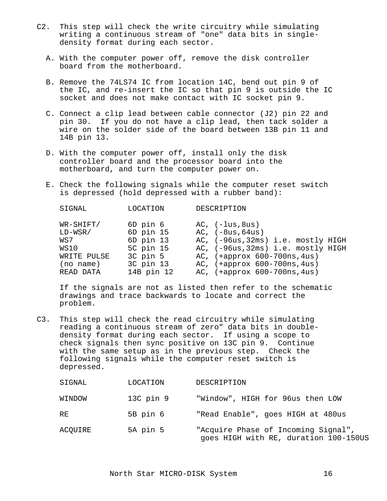- C2. This step will check the write circuitry while simulating writing a continuous stream of "one" data bits in single density format during each sector.
	- A. With the computer power off, remove the disk controller board from the motherboard.
	- B. Remove the 74LS74 IC from location 14C, bend out pin 9 of the IC, and re-insert the IC so that pin 9 is outside the IC socket and does not make contact with IC socket pin 9.
	- C. Connect a clip lead between cable connector (J2) pin 22 and pin 30. If you do not have a clip lead, then tack solder a wire on the solder side of the board between 13B pin 11 and 14B pin 13.
	- D. With the computer power off, install only the disk controller board and the processor board into the motherboard, and turn the computer power on.
	- E. Check the following signals while the computer reset switch is depressed (hold depressed with a rubber band):

| SIGNAL                                                            | LOCATION                                                                 | DESCRIPTION                                                                                                                                                                           |
|-------------------------------------------------------------------|--------------------------------------------------------------------------|---------------------------------------------------------------------------------------------------------------------------------------------------------------------------------------|
| WR-SHIFT/<br>$LD-WSR/$<br>WS7<br>WS10<br>WRITE PULSE<br>(no name) | 6D pin 6<br>6D pin 15<br>6D pin 13<br>5C pin 15<br>3C pin 5<br>3C pin 13 | $AC, (-lus, 8us)$<br>$AC, (-8us, 64us)$<br>AC, (-96us, 32ms) i.e. mostly HIGH<br>AC, (-96us, 32ms) i.e. mostly HIGH<br>AC, $(+approx 600-700ns, 4us)$<br>AC, (+approx 600-700ns, 4us) |
| READ DATA                                                         | 14B pin 12                                                               | AC, (+approx 600-700ns, 4us)                                                                                                                                                          |

 If the signals are not as listed then refer to the schematic drawings and trace backwards to locate and correct the problem.

C3. This step will check the read circuitry while simulating reading a continuous stream of zero" data bits in double density format during each sector. If using a scope to check signals then sync positive on 13C pin 9. Continue with the same setup as in the previous step. Check the following signals while the computer reset switch is depressed.

| SIGNAL  | LOCATION      | DESCRIPTION                                                                  |
|---------|---------------|------------------------------------------------------------------------------|
| WINDOW  | $13C$ pin $9$ | "Window", HIGH for 96us then LOW                                             |
| RE      | 5B pin 6      | "Read Enable", goes HIGH at 480us                                            |
| ACOUIRE | 5A pin 5      | "Acquire Phase of Incoming Signal",<br>goes HIGH with RE, duration 100-150US |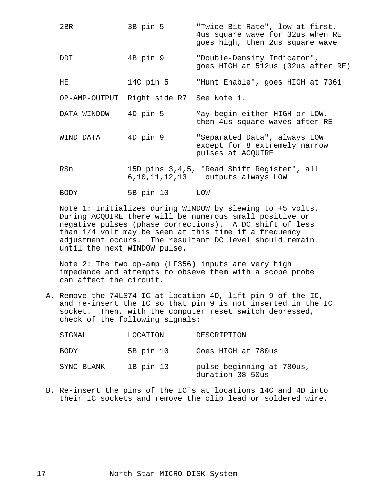| 2BR         | 3B pin 5                                | "Twice Bit Rate", low at first,<br>4us square wave for 32us when RE<br>goes high, then 2us square wave |
|-------------|-----------------------------------------|--------------------------------------------------------------------------------------------------------|
| DDI         | 4B pin 9                                | "Double-Density Indicator",<br>goes HIGH at 512us (32us after RE)                                      |
| HE.         | 14C pin 5                               | "Hunt Enable", goes HIGH at 7361                                                                       |
|             | OP-AMP-OUTPUT Right side R7 See Note 1. |                                                                                                        |
| DATA WINDOW | 4D pin 5                                | May begin either HIGH or LOW,<br>then 4us square waves after RE                                        |
| WIND DATA   | 4D pin 9                                | "Separated Data", always LOW<br>except for 8 extremely narrow<br>pulses at ACQUIRE                     |
| RSn         |                                         | 15D pins 3,4,5, "Read Shift Register", all<br>6, 10, 11, 12, 13 outputs always LOW                     |
| <b>BODY</b> | 5B pin 10                               | LOM                                                                                                    |

 Note 1: Initializes during WINDOW by slewing to +5 volts. During ACQUIRE there will be numerous small positive or negative pulses (phase corrections). A DC shift of less than 1/4 volt may be seen at this time if a frequency adjustment occurs. The resultant DC level should remain until the next WINDOW pulse.

 Note 2: The two op-amp (LF356) inputs are very high impedance and attempts to obseve them with a scope probe can affect the circuit.

 A. Remove the 74LS74 IC at location 4D, lift pin 9 of the IC, and re-insert the IC so that pin 9 is not inserted in the IC socket. Then, with the computer reset switch depressed, check of the following signals:

| SIGNAL     | LOCATION  | DESCRIPTION                                   |
|------------|-----------|-----------------------------------------------|
| BODY       | 5B pin 10 | Goes HIGH at 780us                            |
| SYNC BLANK | 1B pin 13 | pulse beginning at 780us,<br>duration 38-50us |

 B. Re-insert the pins of the IC's at locations 14C and 4D into their IC sockets and remove the clip lead or soldered wire.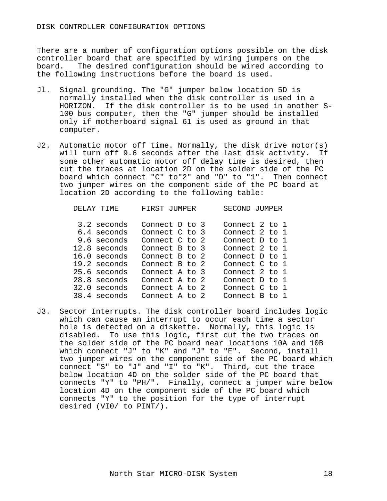There are a number of configuration options possible on the disk controller board that are specified by wiring jumpers on the board. The desired configuration should be wired according to the following instructions before the board is used.

- Jl. Signal grounding. The "G" jumper below location 5D is normally installed when the disk controller is used in a HORIZON. If the disk controller is to be used in another S- 100 bus computer, then the "G" jumper should be installed only if motherboard signal 61 is used as ground in that computer.
- J2. Automatic motor off time. Normally, the disk drive motor(s) will turn off 9.6 seconds after the last disk activity. If some other automatic motor off delay time is desired, then cut the traces at location 2D on the solder side of the PC board which connect "C" to"2" and "D" to "1". Then connect two jumper wires on the component side of the PC board at location 2D according to the following table:

| DELAY TIME     | FIRST<br>JUMPER. | SECOND<br>JUMPER. |
|----------------|------------------|-------------------|
| 3.2 seconds    | Connect D to 3   | Connect 2 to 1    |
| 6.4 seconds    | Connect C to 3   | Connect 2 to 1    |
| 9.6 seconds    | Connect C to 2   | Connect D to 1    |
| 12.8 seconds   | Connect B to 3   | Connect 2 to 1    |
| 16.0 seconds   | Connect B to 2   | Connect D to 1    |
| 19.2 seconds   | Connect B to 2   | Connect C to 1    |
| 25.6 seconds   | Connect A to 3   | Connect 2 to 1    |
| 28.8 seconds   | Connect A to 2   | Connect D to 1    |
| $32.0$ seconds | Connect A to 2   | Connect C to 1    |
| 38.4 seconds   | Connect A to     | Connect B<br>tΩ   |

J3. Sector Interrupts. The disk controller board includes logic which can cause an interrupt to occur each time a sector hole is detected on a diskette. Normally, this logic is disabled. To use this logic, first cut the two traces on the solder side of the PC board near locations 10A and 10B which connect "J" to "K" and "J" to "E". Second, install two jumper wires on the component side of the PC board which connect "S" to "J" and "I" to "K". Third, cut the trace below location 4D on the solder side of the PC board that connects "Y" to "PH/". Finally, connect a jumper wire below location 4D on the component side of the PC board which connects "Y" to the position for the type of interrupt desired (VI0/ to PINT/).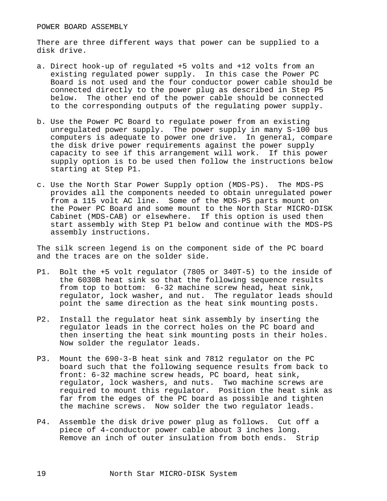There are three different ways that power can be supplied to a disk drive.

- a. Direct hook-up of regulated +5 volts and +12 volts from an existing regulated power supply. In this case the Power PC Board is not used and the four conductor power cable should be connected directly to the power plug as described in Step P5 below. The other end of the power cable should be connected to the corresponding outputs of the regulating power supply.
- b. Use the Power PC Board to regulate power from an existing unregulated power supply. The power supply in many S-100 bus computers is adequate to power one drive. In general, compare the disk drive power requirements against the power supply capacity to see if this arrangement will work. If this power supply option is to be used then follow the instructions below starting at Step P1.
- c. Use the North Star Power Supply option (MDS-PS). The MDS-PS provides all the components needed to obtain unregulated power from a 115 volt AC line. Some of the MDS-PS parts mount on the Power PC Board and some mount to the North Star MICRO-DISK Cabinet (MDS-CAB) or elsewhere. If this option is used then start assembly with Step P1 below and continue with the MDS-PS assembly instructions.

The silk screen legend is on the component side of the PC board and the traces are on the solder side.

- P1. Bolt the +5 volt regulator (7805 or 340T-5) to the inside of the 6030B heat sink so that the following sequence results from top to bottom: 6-32 machine screw head, heat sink, regulator, lock washer, and nut. The regulator leads should point the same direction as the heat sink mounting posts.
- P2. Install the regulator heat sink assembly by inserting the regulator leads in the correct holes on the PC board and then inserting the heat sink mounting posts in their holes. Now solder the regulator leads.
- P3. Mount the 690-3-B heat sink and 7812 regulator on the PC board such that the following sequence results from back to front: 6-32 machine screw heads, PC board, heat sink, regulator, lock washers, and nuts. Two machine screws are required to mount this regulator. Position the heat sink as far from the edges of the PC board as possible and tighten the machine screws. Now solder the two regulator leads.
- P4. Assemble the disk drive power plug as follows. Cut off a piece of 4-conductor power cable about 3 inches long. Remove an inch of outer insulation from both ends. Strip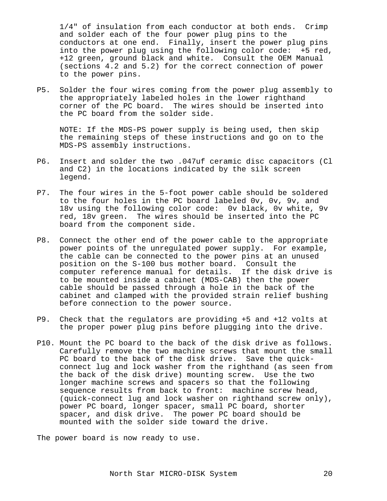1/4" of insulation from each conductor at both ends. Crimp and solder each of the four power plug pins to the conductors at one end. Finally, insert the power plug pins into the power plug using the following color code: +5 red, +12 green, ground black and white. Consult the OEM Manual (sections 4.2 and 5.2) for the correct connection of power to the power pins.

P5. Solder the four wires coming from the power plug assembly to the appropriately labeled holes in the lower righthand corner of the PC board. The wires should be inserted into the PC board from the solder side.

 NOTE: If the MDS-PS power supply is being used, then skip the remaining steps of these instructions and go on to the MDS-PS assembly instructions.

- P6. Insert and solder the two .047uf ceramic disc capacitors (Cl and C2) in the locations indicated by the silk screen legend.
- P7. The four wires in the 5-foot power cable should be soldered to the four holes in the PC board labeled 0v, 0v, 9v, and 18v using the following color code: 0v black, 0v white, 9v red, 18v green. The wires should be inserted into the PC board from the component side.
- P8. Connect the other end of the power cable to the appropriate power points of the unregulated power supply. For example, the cable can be connected to the power pins at an unused position on the S-100 bus mother board. Consult the computer reference manual for details. If the disk drive is to be mounted inside a cabinet (MDS-CAB) then the power cable should be passed through a hole in the back of the cabinet and clamped with the provided strain relief bushing before connection to the power source.
- P9. Check that the regulators are providing +5 and +12 volts at the proper power plug pins before plugging into the drive.
- P10. Mount the PC board to the back of the disk drive as follows. Carefully remove the two machine screws that mount the small PC board to the back of the disk drive. Save the quick connect lug and lock washer from the righthand (as seen from the back of the disk drive) mounting screw. Use the two longer machine screws and spacers so that the following sequence results from back to front: machine screw head, (quick-connect lug and lock washer on righthand screw only), power PC board, longer spacer, small PC board, shorter spacer, and disk drive. The power PC board should be mounted with the solder side toward the drive.

The power board is now ready to use.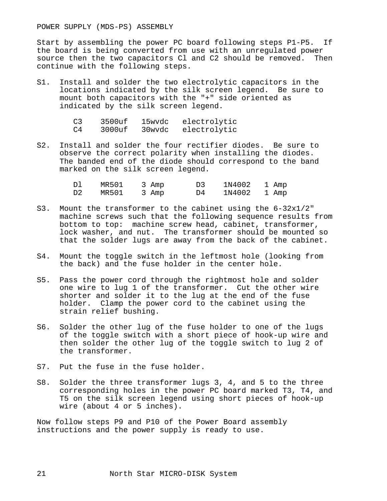POWER SUPPLY (MDS-PS) ASSEMBLY

Start by assembling the power PC board following steps P1-P5. If the board is being converted from use with an unregulated power source then the two capacitors Cl and C2 should be removed. Then continue with the following steps.

S1. Install and solder the two electrolytic capacitors in the locations indicated by the silk screen legend. Be sure to mount both capacitors with the "+" side oriented as indicated by the silk screen legend.

| C <sub>3</sub> | 3500uf | 15wvdc | electrolytic        |
|----------------|--------|--------|---------------------|
| C4             | 3000uf |        | 30wvdc electrolytic |

S2. Install and solder the four rectifier diodes. Be sure to observe the correct polarity when installing the diodes. The banded end of the diode should correspond to the band marked on the silk screen legend.

|  | MR501 3 Amp |  |      | 1N4002 1 Amp |  |
|--|-------------|--|------|--------------|--|
|  | MR501 3 Amp |  | D4 D | 1N4002 1 Amp |  |

- S3. Mount the transformer to the cabinet using the 6-32x1/2" machine screws such that the following sequence results from bottom to top: machine screw head, cabinet, transformer, lock washer, and nut. The transformer should be mounted so that the solder lugs are away from the back of the cabinet.
- S4. Mount the toggle switch in the leftmost hole (looking from the back) and the fuse holder in the center hole.
- S5. Pass the power cord through the rightmost hole and solder one wire to lug 1 of the transformer. Cut the other wire shorter and solder it to the lug at the end of the fuse holder. Clamp the power cord to the cabinet using the strain relief bushing.
- S6. Solder the other lug of the fuse holder to one of the lugs of the toggle switch with a short piece of hook-up wire and then solder the other lug of the toggle switch to lug 2 of the transformer.
- S7. Put the fuse in the fuse holder.
- S8. Solder the three transformer lugs 3, 4, and 5 to the three corresponding holes in the power PC board marked T3, T4, and T5 on the silk screen legend using short pieces of hook-up wire (about 4 or 5 inches).

Now follow steps P9 and P10 of the Power Board assembly instructions and the power supply is ready to use.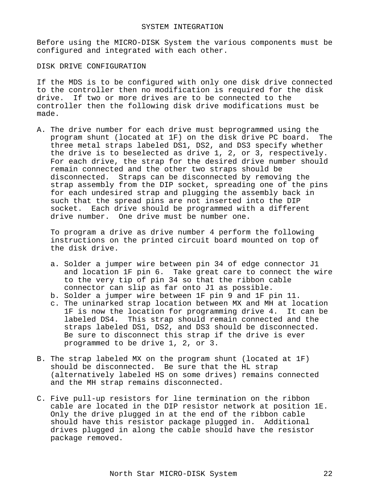Before using the MICRO-DISK System the various components must be configured and integrated with each other.

DISK DRIVE CONFIGURATION

If the MDS is to be configured with only one disk drive connected to the controller then no modification is required for the disk drive. If two or more drives are to be connected to the controller then the following disk drive modifications must be made.

A. The drive number for each drive must beprogrammed using the program shunt (located at 1F) on the disk drive PC board. The three metal straps labeled DS1, DS2, and DS3 specify whether the drive is to beselected as drive 1, 2, or 3, respectively. For each drive, the strap for the desired drive number should remain connected and the other two straps should be disconnected. Straps can be disconnected by removing the strap assembly from the DIP socket, spreading one of the pins for each undesired strap and plugging the assembly back in such that the spread pins are not inserted into the DIP socket. Each drive should be programmed with a different drive number. One drive must be number one.

 To program a drive as drive number 4 perform the following instructions on the printed circuit board mounted on top of the disk drive.

- a. Solder a jumper wire between pin 34 of edge connector J1 and location 1F pin 6. Take great care to connect the wire to the very tip of pin 34 so that the ribbon cable connector can slip as far onto J1 as possible.
- b. Solder a jumper wire between 1F pin 9 and 1F pin 11.
- c. The uninarked strap location between MX and MH at location 1F is now the location for programming drive 4. It can be labeled DS4. This strap should remain connected and the straps labeled DS1, DS2, and DS3 should be disconnected. Be sure to disconnect this strap if the drive is ever programmed to be drive 1, 2, or 3.
- B. The strap labeled MX on the program shunt (located at 1F) should be disconnected. Be sure that the HL strap (alternatively labeled HS on some drives) remains connected and the MH strap remains disconnected.
- C. Five pull-up resistors for line termination on the ribbon cable are located in the DIP resistor network at position 1E. Only the drive plugged in at the end of the ribbon cable should have this resistor package plugged in. Additional drives plugged in along the cable should have the resistor package removed.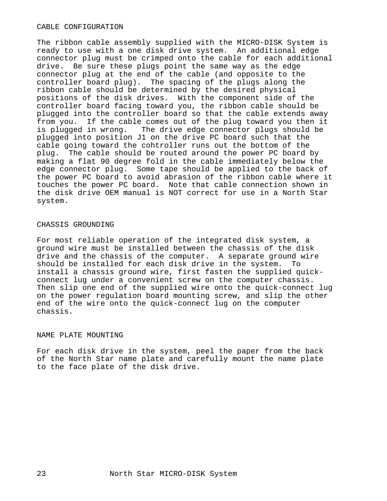#### CABLE CONFIGURATION

The ribbon cable assembly supplied with the MICRO-DISK System is ready to use with a one disk drive system. An additional edge connector plug must be crimped onto the cable for each additional drive. Be sure these plugs point the same way as the edge connector plug at the end of the cable (and opposite to the controller board plug). The spacing of the plugs along the ribbon cable should be determined by the desired physical positions of the disk drives. With the component side of the controller board facing toward you, the ribbon cable should be plugged into the controller board so that the cable extends away from you. If the cable comes out of the plug toward you then it<br>is plugged in wrong. The drive edge connector plugs should be The drive edge connector plugs should be plugged into position J1 on the drive PC board such that the cable going toward the cohtroller runs out the bottom of the plug. The cable should be routed around the power PC board by making a flat 90 degree fold in the cable immediately below the edge connector plug. Some tape should be applied to the back of the power PC board to avoid abrasion of the ribbon cable where it touches the power PC board. Note that cable connection shown in the disk drive OEM manual is NOT correct for use in a North Star system.

#### CHASSIS GROUNDING

For most reliable operation of the integrated disk system, a ground wire must be installed between the chassis of the disk drive and the chassis of the computer. A separate ground wire should be installed for each disk drive in the system. To install a chassis ground wire, first fasten the supplied quickconnect lug under a convenient screw on the computer chassis. Then slip one end of the supplied wire onto the quick-connect lug on the power regulation board mounting screw, and slip the other end of the wire onto the quick-connect lug on the computer chassis.

#### NAME PLATE MOUNTING

For each disk drive in the system, peel the paper from the back of the North Star name plate and carefully mount the name plate to the face plate of the disk drive.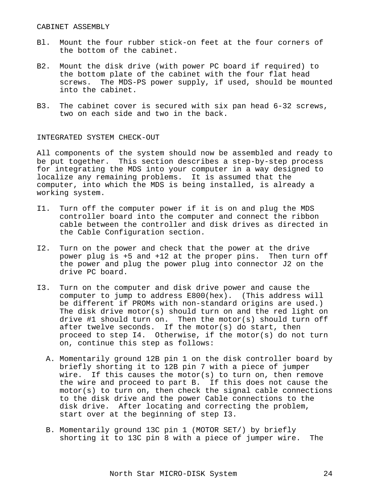- Bl. Mount the four rubber stick-on feet at the four corners of the bottom of the cabinet.
- B2. Mount the disk drive (with power PC board if required) to the bottom plate of the cabinet with the four flat head screws. The MDS-PS power supply, if used, should be mounted into the cabinet.
- B3. The cabinet cover is secured with six pan head 6-32 screws, two on each side and two in the back.

#### INTEGRATED SYSTEM CHECK-OUT

All components of the system should now be assembled and ready to be put together. This section describes a step-by-step process for integrating the MDS into your computer in a way designed to localize any remaining problems. It is assumed that the computer, into which the MDS is being installed, is already a working system.

- I1. Turn off the computer power if it is on and plug the MDS controller board into the computer and connect the ribbon cable between the controller and disk drives as directed in the Cable Configuration section.
- I2. Turn on the power and check that the power at the drive power plug is +5 and +12 at the proper pins. Then turn off the power and plug the power plug into connector J2 on the drive PC board.
- I3. Turn on the computer and disk drive power and cause the computer to jump to address E800(hex). (This address will be different if PROMs with non-standard origins are used.) The disk drive motor(s) should turn on and the red light on drive #1 should turn on. Then the motor(s) should turn off after twelve seconds. If the motor(s) do start, then proceed to step I4. Otherwise, if the motor(s) do not turn on, continue this step as follows:
	- A. Momentarily ground 12B pin 1 on the disk controller board by briefly shorting it to 12B pin 7 with a piece of jumper wire. If this causes the motor(s) to turn on, then remove the wire and proceed to part B. If this does not cause the motor(s) to turn on, then check the signal cable connections to the disk drive and the power Cable connections to the disk drive. After locating and correcting the problem, start over at the beginning of step I3.
	- B. Momentarily ground 13C pin 1 (MOTOR SET/) by briefly shorting it to 13C pin 8 with a piece of jumper wire. The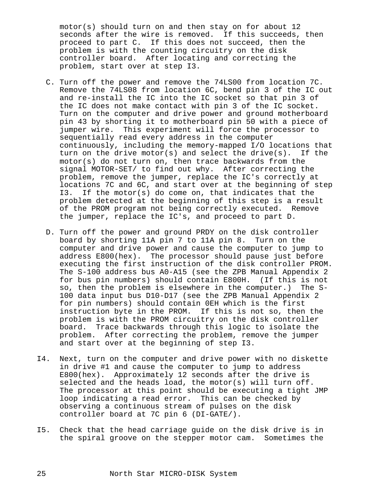motor(s) should turn on and then stay on for about 12 seconds after the wire is removed. If this succeeds, then proceed to part C. If this does not succeed, then the problem is with the counting circuitry on the disk controller board. After locating and correcting the problem, start over at step I3.

- C. Turn off the power and remove the 74LS00 from location 7C. Remove the 74LS08 from location 6C, bend pin 3 of the IC out and re-install the IC into the IC socket so that pin 3 of the IC does not make contact with pin 3 of the IC socket. Turn on the computer and drive power and ground motherboard pin 43 by shorting it to motherboard pin 50 with a piece of jumper wire. This experiment will force the processor to sequentially read every address in the computer continuously, including the memory-mapped I/O locations that turn on the drive motor(s) and select the drive(s). If the motor(s) do not turn on, then trace backwards from the signal MOTOR-SET/ to find out why. After correcting the problem, remove the jumper, replace the IC's correctly at locations 7C and 6C, and start over at the beginning of step I3. If the motor(s) do come on, that indicates that the problem detected at the beginning of this step is a result of the PROM program not being correctly executed. Remove the jumper, replace the IC's, and proceed to part D.
- D. Turn off the power and ground PRDY on the disk controller board by shorting 11A pin 7 to 11A pin 8. Turn on the computer and drive power and cause the computer to jump to address E800(hex). The processor should pause just before executing the first instruction of the disk controller PROM. The S-100 address bus A0-A15 (see the ZPB Manual Appendix 2 for bus pin numbers) should contain E800H. (If this is not so, then the problem is elsewhere in the computer.) The S- 100 data input bus D10-D17 (see the ZPB Manual Appendix 2 for pin numbers) should contain 0EH which is the first instruction byte in the PROM. If this is not so, then the problem is with the PROM circuitry on the disk controller board. Trace backwards through this logic to isolate the problem. After correcting the problem, remove the jumper and start over at the beginning of step I3.
- I4. Next, turn on the computer and drive power with no diskette in drive #1 and cause the computer to jump to address E800(hex). Approximately 12 seconds after the drive is selected and the heads load, the motor(s) will turn off. The processor at this point should be executing a tight JMP loop indicating a read error. This can be checked by observing a continuous stream of pulses on the disk controller board at 7C pin 6 (DI-GATE/).
- I5. Check that the head carriage guide on the disk drive is in the spiral groove on the stepper motor cam. Sometimes the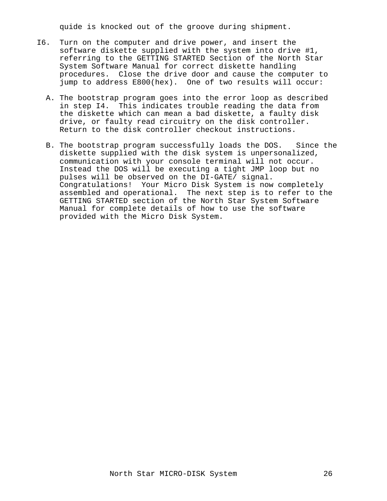quide is knocked out of the groove during shipment.

- I6. Turn on the computer and drive power, and insert the software diskette supplied with the system into drive #1, referring to the GETTING STARTED Section of the North Star System Software Manual for correct diskette handling procedures. Close the drive door and cause the computer to jump to address E800(hex). One of two results will occur:
	- A. The bootstrap program goes into the error loop as described in step I4. This indicates trouble reading the data from the diskette which can mean a bad diskette, a faulty disk drive, or faulty read circuitry on the disk controller. Return to the disk controller checkout instructions.
	- B. The bootstrap program successfully loads the DOS. Since the diskette supplied with the disk system is unpersonalized, communication with your console terminal will not occur. Instead the DOS will be executing a tight JMP loop but no pulses will be observed on the DI-GATE/ signal. Congratulations! Your Micro Disk System is now completely assembled and operational. The next step is to refer to the GETTING STARTED section of the North Star System Software Manual for complete details of how to use the software provided with the Micro Disk System.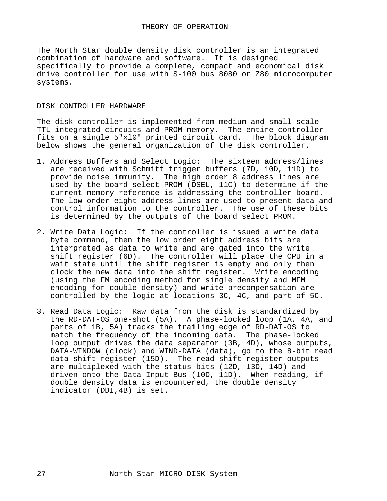The North Star double density disk controller is an integrated combination of hardware and software. It is designed specifically to provide a complete, compact and economical disk drive controller for use with S-100 bus 8080 or Z80 microcomputer systems.

## DISK CONTROLLER HARDWARE

The disk controller is implemented from medium and small scale TTL integrated circuits and PROM memory. The entire controller fits on a single 5"xl0" printed circuit card. The block diagram below shows the general organization of the disk controller.

- 1. Address Buffers and Select Logic: The sixteen address/lines are received with Schmitt trigger buffers (7D, 10D, 11D) to provide noise immunity. The high order 8 address lines are used by the board select PROM (DSEL, 11C) to determine if the current memory reference is addressing the controller board. The low order eight address lines are used to present data and control information to the controller. The use of these bits is determined by the outputs of the board select PROM.
- 2. Write Data Logic: If the controller is issued a write data byte command, then the low order eight address bits are interpreted as data to write and are gated into the write shift register (6D). The controller will place the CPU in a wait state until the shift register is empty and only then clock the new data into the shift register. Write encoding (using the FM encoding method for single density and MFM encoding for double density) and write precompensation are controlled by the logic at locations 3C, 4C, and part of 5C.
- 3. Read Data Logic: Raw data from the disk is standardized by the RD-DAT-OS one-shot (5A). A phase-locked loop (1A, 4A, and parts of 1B, 5A) tracks the trailing edge of RD-DAT-OS to match the frequency of the incoming data. The phase-locked loop output drives the data separator (3B, 4D), whose outputs, DATA-WINDOW (clock) and WIND-DATA (data), go to the 8-bit read data shift register (15D). The read shift register outputs are multiplexed with the status bits (12D, 13D, 14D) and driven onto the Data Input Bus (10D, 11D). When reading, if double density data is encountered, the double density indicator (DDI,4B) is set.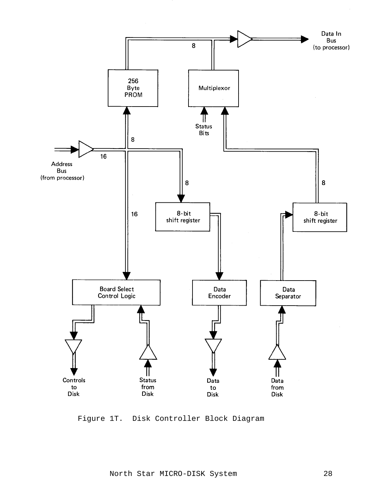

Figure 1T. Disk Controller Block Diagram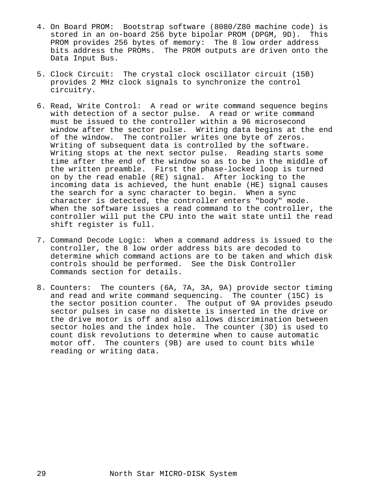- 4. On Board PROM: Bootstrap software (8080/Z80 machine code) is stored in an on-board 256 byte bipolar PROM (DPGM, 9D). This PROM provides 256 bytes of memory: The 8 low order address bits address the PROMs. The PROM outputs are driven onto the Data Input Bus.
- 5. Clock Circuit: The crystal clock oscillator circuit (15B) provides 2 MHz clock signals to synchronize the control circuitry.
- 6. Read, Write Control: A read or write command sequence begins with detection of a sector pulse. A read or write command must be issued to the controller within a 96 microsecond window after the sector pulse. Writing data begins at the end of the window. The controller writes one byte of zeros. Writing of subsequent data is controlled by the software. Writing stops at the next sector pulse. Reading starts some time after the end of the window so as to be in the middle of the written preamble. First the phase-locked loop is turned on by the read enable (RE) signal. After locking to the incoming data is achieved, the hunt enable (HE) signal causes the search for a sync character to begin. When a sync character is detected, the controller enters "body" mode. When the software issues a read command to the controller, the controller will put the CPU into the wait state until the read shift register is full.
- 7. Command Decode Logic: When a command address is issued to the controller, the 8 low order address bits are decoded to determine which command actions are to be taken and which disk controls should be performed. See the Disk Controller Commands section for details.
- 8. Counters: The counters (6A, 7A, 3A, 9A) provide sector timing and read and write command sequencing. The counter (15C) is the sector position counter. The output of 9A provides pseudo sector pulses in case no diskette is inserted in the drive or the drive motor is off and also allows discrimination between sector holes and the index hole. The counter (3D) is used to count disk revolutions to determine when to cause automatic motor off. The counters (9B) are used to count bits while reading or writing data.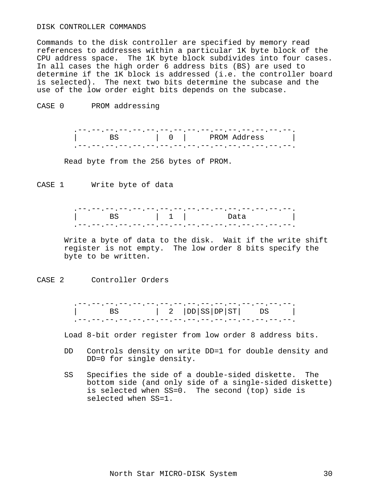#### DISK CONTROLLER COMMANDS

Commands to the disk controller are specified by memory read references to addresses within a particular 1K byte block of the CPU address space. The 1K byte block subdivides into four cases. In all cases the high order 6 address bits (BS) are used to determine if the 1K block is addressed (i.e. the controller board is selected). The next two bits determine the subcase and the use of the low order eight bits depends on the subcase.

CASE 0 PROM addressing

 .--.--.--.--.--.--.--.--.--.--.--.--.--.--.--.--. | BS | 0 | PROM Address | .--.--.--.--.--.--.--.--.--.--.--.--.--.--.--.--.

Read byte from the 256 bytes of PROM.

CASE 1 Write byte of data

 .--.--.--.--.--.--.--.--.--.--.--.--.--.--.--.--. | BS | 1 | Data | .--.--.--.--.--.--.--.--.--.--.--.--.--.--.--.--.

 Write a byte of data to the disk. Wait if the write shift register is not empty. The low order 8 bits specify the byte to be written.

CASE 2 Controller Orders

| $\vert$ BS $\vert$ 2 $\vert$ DD $\vert$ SS $\vert$ DP $\vert$ ST $\vert$ DS $\vert$ |  |  |
|-------------------------------------------------------------------------------------|--|--|
|                                                                                     |  |  |

Load 8-bit order register from low order 8 address bits.

- DD Controls density on write DD=1 for double density and DD=0 for single density.
- SS Specifies the side of a double-sided diskette. The bottom side (and only side of a single-sided diskette) is selected when SS=0. The second (top) side is selected when SS=1.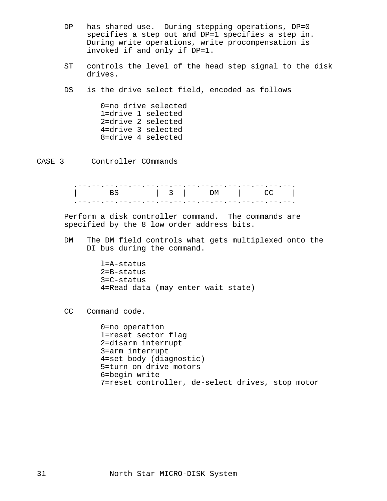- DP has shared use. During stepping operations, DP=0 specifies a step out and DP=1 specifies a step in. During write operations, write procompensation is invoked if and only if DP=1.
- ST controls the level of the head step signal to the disk drives.

DS is the drive select field, encoded as follows

 0=no drive selected 1=drive 1 selected 2=drive 2 selected 4=drive 3 selected 8=drive 4 selected

CASE 3 Controller COmmands

 Perform a disk controller command. The commands are specified by the 8 low order address bits.

 DM The DM field controls what gets multiplexed onto the DI bus during the command.

> l=A-status 2=B-status 3=C-status 4=Read data (may enter wait state)

CC Command code.

 0=no operation l=reset sector flag 2=disarm interrupt 3=arm interrupt 4=set body (diagnostic) 5=turn on drive motors 6=begin write 7=reset controller, de-select drives, stop motor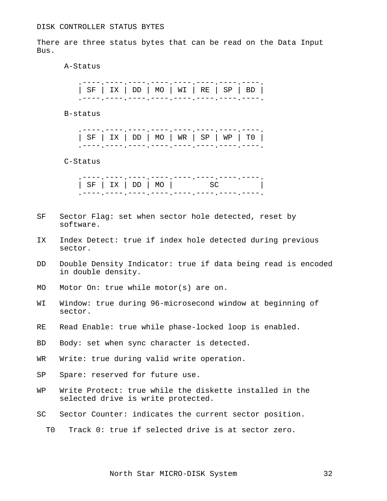There are three status bytes that can be read on the Data Input Bus.

A-Status

B-status

| $ $ SF $ $ IX $ $ DD $ $ MO $ $ WR $ $ SP $ $ WP $ $ TO $ $ |  |  |
|-------------------------------------------------------------|--|--|

C-Status

| SF   IX   DD   MO   SC |  |  |  |  |
|------------------------|--|--|--|--|
|------------------------|--|--|--|--|

- SF Sector Flag: set when sector hole detected, reset by software.
- IX Index Detect: true if index hole detected during previous sector.
- DD Double Density Indicator: true if data being read is encoded in double density.
- MO Motor On: true while motor(s) are on.
- WI Window: true during 96-microsecond window at beginning of sector.
- RE Read Enable: true while phase-locked loop is enabled.
- BD Body: set when sync character is detected.
- WR Write: true during valid write operation.
- SP Spare: reserved for future use.
- WP Write Protect: true while the diskette installed in the selected drive is write protected.
- SC Sector Counter: indicates the current sector position.
	- T0 Track 0: true if selected drive is at sector zero.

North Star MICRO-DISK System 32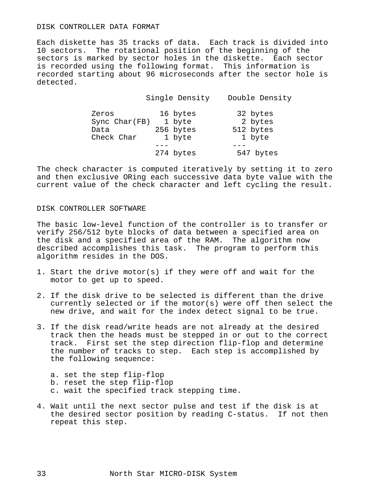#### DISK CONTROLLER DATA FORMAT

Each diskette has 35 tracks of data. Each track is divided into 10 sectors. The rotational position of the beginning of the sectors is marked by sector holes in the diskette. Each sector is recorded using the following format. This information is recorded starting about 96 microseconds after the sector hole is detected.

Single Density Double Density<br>16 bytes 32 bytes<br>30 1 byte Zeros 16 bytes Sync Char(FB) 1 byte 2 bytes<br>Data 256 bytes 512 bytes Data 256 bytes Check Char  $1$  byte  $1$  byte  $-$  --- --- 274 bytes 547 bytes

The check character is computed iteratively by setting it to zero and then exclusive ORing each successive data byte value with the current value of the check character and left cycling the result.

## DISK CONTROLLER SOFTWARE

The basic low-level function of the controller is to transfer or verify 256/512 byte blocks of data between a specified area on the disk and a specified area of the RAM. The algorithm now described accomplishes this task. The program to perform this algorithm resides in the DOS.

- 1. Start the drive motor(s) if they were off and wait for the motor to get up to speed.
- 2. If the disk drive to be selected is different than the drive currently selected or if the motor(s) were off then select the new drive, and wait for the index detect signal to be true.
- 3. If the disk read/write heads are not already at the desired track then the heads must be stepped in or out to the correct track. First set the step direction flip-flop and determine the number of tracks to step. Each step is accomplished by the following sequence:
	- a. set the step flip-flop
	- b. reset the step flip-flop
	- c. wait the specified track stepping time.
- 4. Wait until the next sector pulse and test if the disk is at the desired sector position by reading C-status. If not then repeat this step.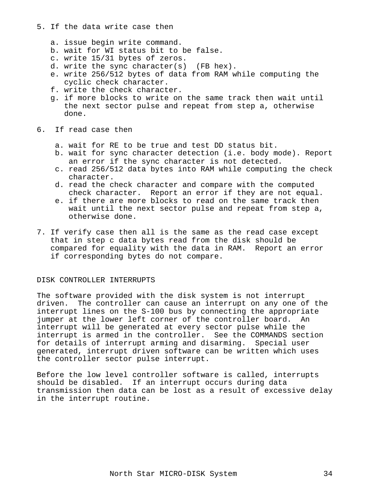- 5. If the data write case then
	- a. issue begin write command.
	- b. wait for WI status bit to be false.
	- c. write 15/31 bytes of zeros.
	- d. write the sync character(s) (FB hex).
	- e. write 256/512 bytes of data from RAM while computing the cyclic check character.
	- f. write the check character.
	- g. if more blocks to write on the same track then wait until the next sector pulse and repeat from step a, otherwise done.
- 6. If read case then
	- a. wait for RE to be true and test DD status bit.
	- b. wait for sync character detection (i.e. body mode). Report an error if the sync character is not detected.
	- c. read 256/512 data bytes into RAM while computing the check character.
	- d. read the check character and compare with the computed check character. Report an error if they are not equal.
	- e. if there are more blocks to read on the same track then wait until the next sector pulse and repeat from step a, otherwise done.
- 7. If verify case then all is the same as the read case except that in step c data bytes read from the disk should be compared for equality with the data in RAM. Report an error if corresponding bytes do not compare.

# DISK CONTROLLER INTERRUPTS

The software provided with the disk system is not interrupt driven. The controller can cause an interrupt on any one of the interrupt lines on the S-100 bus by connecting the appropriate jumper at the lower left corner of the controller board. An interrupt will be generated at every sector pulse while the interrupt is armed in the controller. See the COMMANDS section for details of interrupt arming and disarming. Special user generated, interrupt driven software can be written which uses the controller sector pulse interrupt.

Before the low level controller software is called, interrupts should be disabled. If an interrupt occurs during data transmission then data can be lost as a result of excessive delay in the interrupt routine.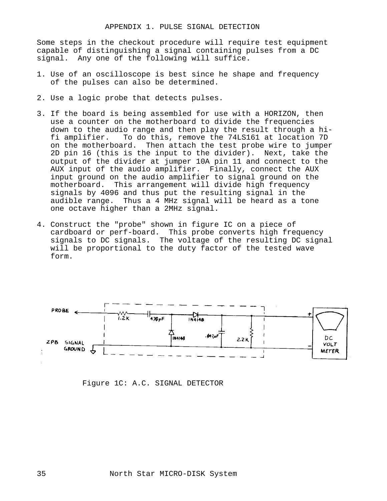Some steps in the checkout procedure will require test equipment capable of distinguishing a signal containing pulses from a DC signal. Any one of the following will suffice.

- 1. Use of an oscilloscope is best since he shape and frequency of the pulses can also be determined.
- 2. Use a logic probe that detects pulses.
- 3. If the board is being assembled for use with a HORIZON, then use a counter on the motherboard to divide the frequencies down to the audio range and then play the result through a hi fi amplifier. To do this, remove the 74LS161 at location 7D on the motherboard. Then attach the test probe wire to jumper 2D pin 16 (this is the input to the divider). Next, take the output of the divider at jumper 10A pin 11 and connect to the AUX input of the audio amplifier. Finally, connect the AUX input ground on the audio amplifier to signal ground on the motherboard. This arrangement will divide high frequency signals by 4096 and thus put the resulting signal in the audible range. Thus a 4 MHz signal will be heard as a tone one octave higher than a 2MHz signal.
- 4. Construct the "probe" shown in figure IC on a piece of cardboard or perf-board. This probe converts high frequency signals to DC signals. The voltage of the resulting DC signal will be proportional to the duty factor of the tested wave form.



Figure 1C: A.C. SIGNAL DETECTOR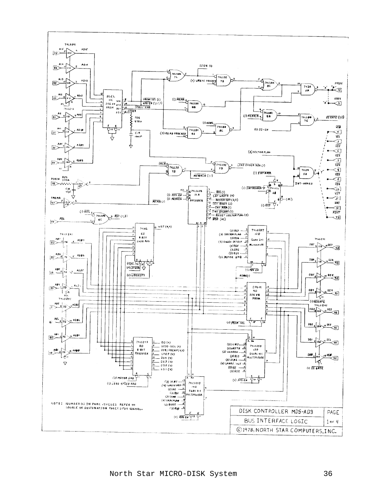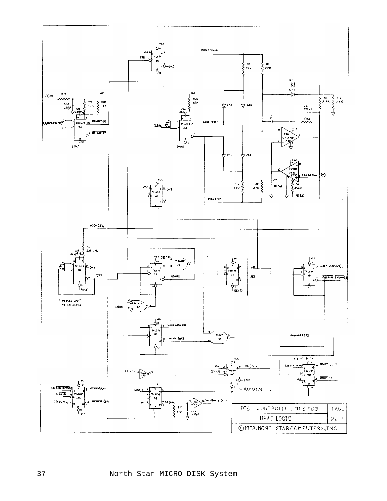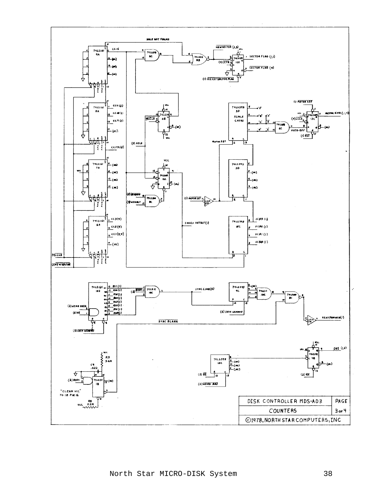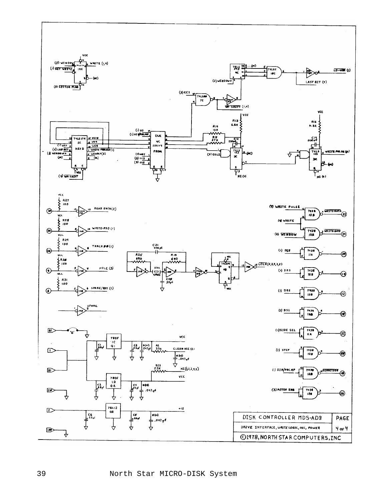